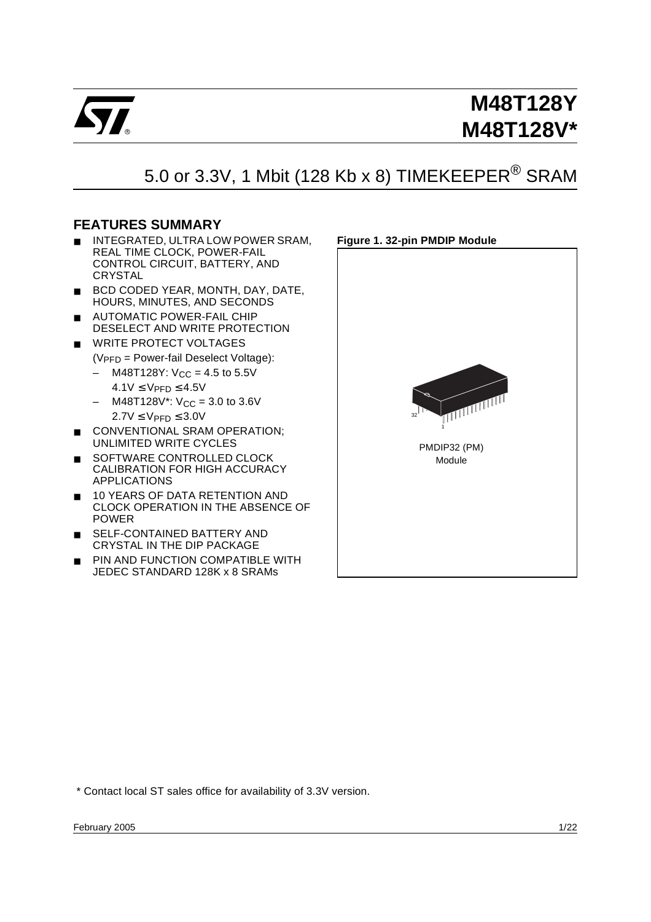

# 5.0 or 3.3V, 1 Mbit (128 Kb x 8) TIMEKEEPER<sup>®</sup> SRAM

# <span id="page-0-0"></span>**FEATURES SUMMARY**

- INTEGRATED, ULTRA LOW POWER SRAM, REAL TIME CLOCK, POWER-FAIL CONTROL CIRCUIT, BATTERY, AND **CRYSTAL**
- BCD CODED YEAR, MONTH, DAY, DATE, HOURS, MINUTES, AND SECONDS
- **AUTOMATIC POWER-FAIL CHIP** DESELECT AND WRITE PROTECTION
- WRITE PROTECT VOLTAGES  $(V_{\text{PFD}} = \text{Power-fail Deselect Voltage})$ :
	- $-$  M48T128Y: V<sub>CC</sub> = 4.5 to 5.5V  $4.1V \leq V_{\text{PFD}} \leq 4.5V$
	- $-$  M48T128V\*: V<sub>CC</sub> = 3.0 to 3.6V  $2.7V \leq V_{\text{PFD}} \leq 3.0V$
- CONVENTIONAL SRAM OPERATION; UNLIMITED WRITE CYCLES
- SOFTWARE CONTROLLED CLOCK CALIBRATION FOR HIGH ACCURACY APPLICATIONS
- 10 YEARS OF DATA RETENTION AND CLOCK OPERATION IN THE ABSENCE OF POWER
- SELF-CONTAINED BATTERY AND CRYSTAL IN THE DIP PACKAGE
- PIN AND FUNCTION COMPATIBLE WITH JEDEC STANDARD 128K x 8 SRAMs

<span id="page-0-1"></span>

\* Contact local ST sales office for availability of 3.3V version.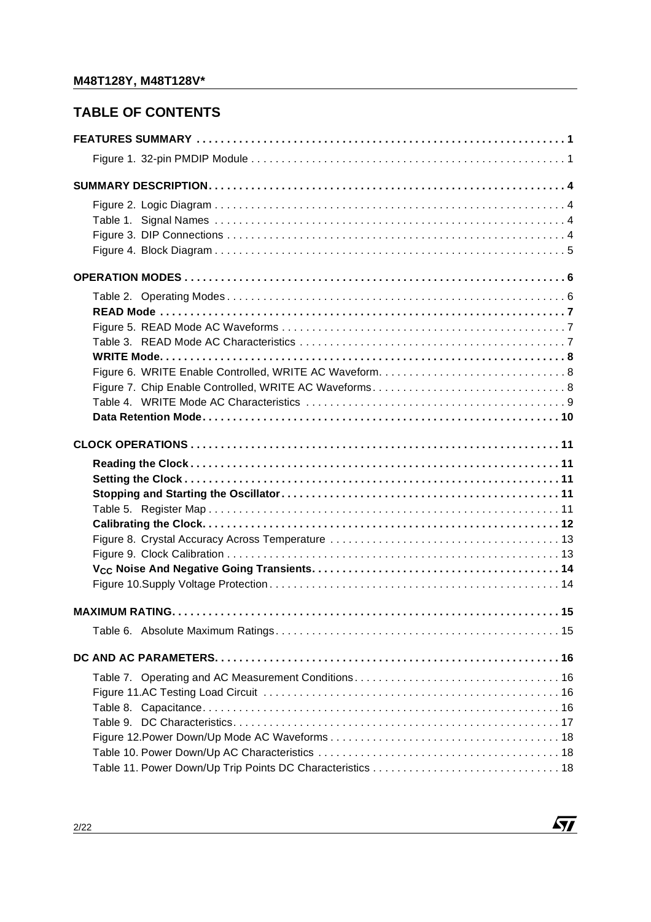# **TABLE OF CONTENTS**

 $\sqrt{M}$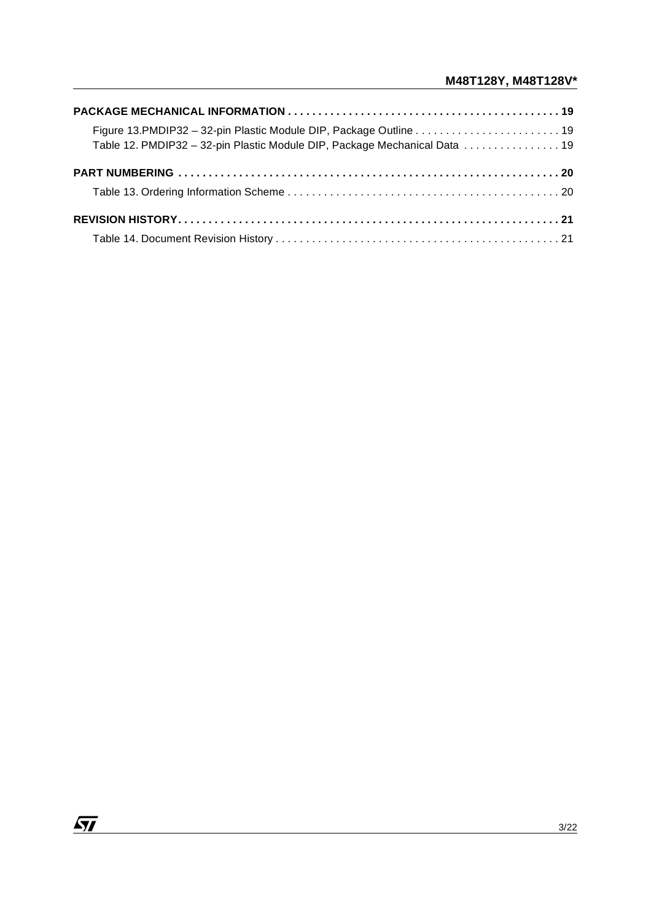| Table 12. PMDIP32 - 32-pin Plastic Module DIP, Package Mechanical Data  19 |  |
|----------------------------------------------------------------------------|--|
|                                                                            |  |
|                                                                            |  |
|                                                                            |  |
|                                                                            |  |

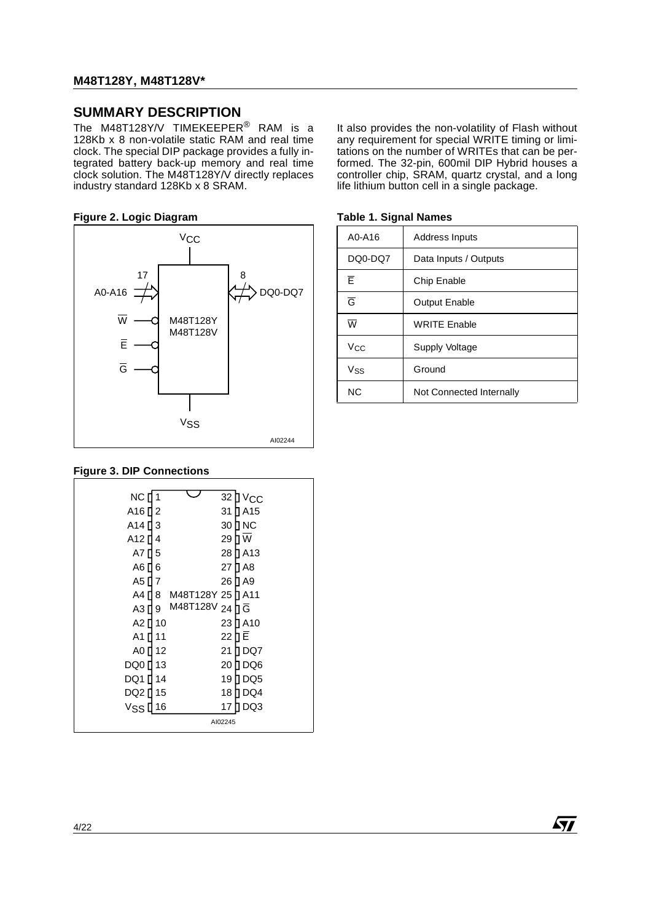## <span id="page-3-0"></span>**SUMMARY DESCRIPTION**

The M48T128Y/V TIMEKEEPER $^\circledR$  RAM is a 128Kb x 8 non-volatile static RAM and real time clock. The special DIP package provides a fully integrated battery back-up memory and real time clock solution. The M48T128Y/V directly replaces industry standard 128Kb x 8 SRAM.

### <span id="page-3-1"></span>**Figure 2. Logic Diagram Table 1. Signal Names**



<span id="page-3-3"></span>**Figure 3. DIP Connections**

| NC [ 1                      | 32 D              | $V_{\rm CC}$ |
|-----------------------------|-------------------|--------------|
| A16 <sup>[1</sup> 2         | 31                | 1 A 15       |
| A14∏3                       | 30                | ∏NC          |
| A12 N<br>4                  | 29                | ٦w           |
| A7 F<br>5                   | 28                | T A13        |
| А6 П<br>6                   | 27                | 1 A8         |
| A5 [] 7                     | 26                | 1 A9         |
| A4 ∏<br>8                   | M48T128Y 25 Π A11 |              |
| A3 [] 9                     | M48T128V 24 h G   |              |
| A2 ∏ 10                     | 23                | 1 A 10       |
| А1 П<br>11                  | 22                | 1E           |
| A0 ∏ 12                     | 21                | 1 DQ7        |
| DQ0 ∏<br>13                 | 20                | 1 DQ6        |
| DQ1 ∏<br>14                 | 19                | DQ5          |
| DQ2 [] 15                   | 18                | DQ4          |
| <b>V<sub>SS</sub></b><br>16 | 17                | DQ3          |
|                             | AI02245           |              |

It also provides the non-volatility of Flash without any requirement for special WRITE timing or limitations on the number of WRITEs that can be performed. The 32-pin, 600mil DIP Hybrid houses a controller chip, SRAM, quartz crystal, and a long life lithium button cell in a single package.

| A0-A16                  | Address Inputs           |
|-------------------------|--------------------------|
| DQ0-DQ7                 | Data Inputs / Outputs    |
| Έ                       | Chip Enable              |
| Ğ                       | <b>Output Enable</b>     |
| $\overline{\mathsf{w}}$ | <b>WRITE Enable</b>      |
| Vcc                     | Supply Voltage           |
| Vss                     | Ground                   |
| <b>NC</b>               | Not Connected Internally |

<span id="page-3-2"></span>



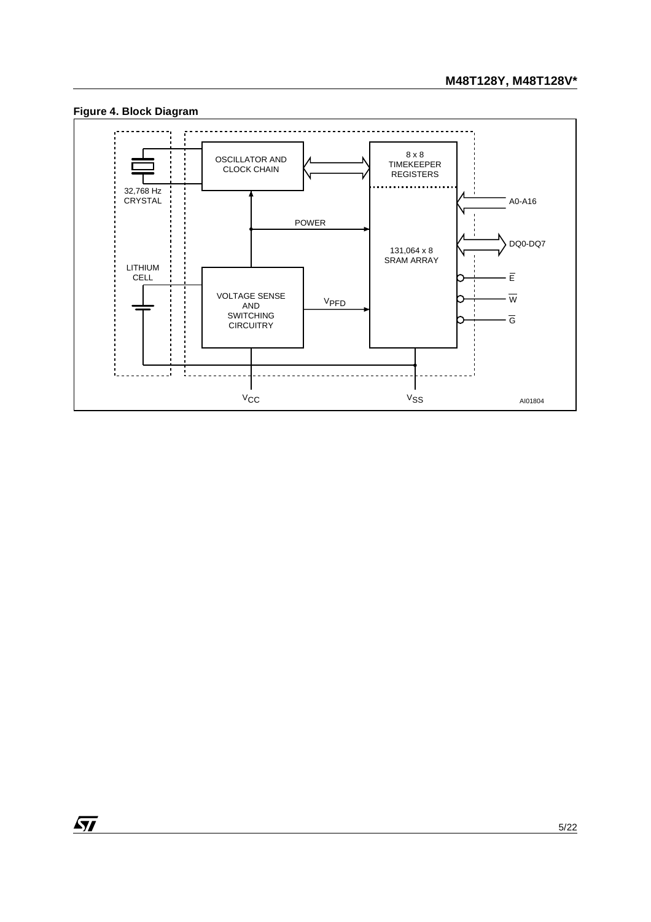

### <span id="page-4-0"></span>**Figure 4. Block Diagram**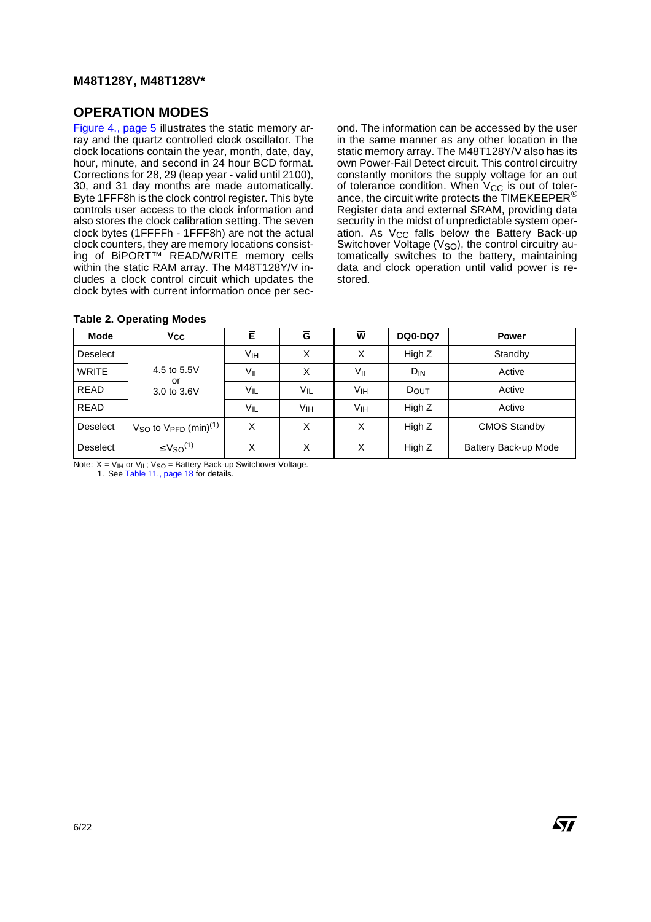# <span id="page-5-0"></span>**OPERATION MODES**

[Figure 4., page 5](#page-4-0) illustrates the static memory array and the quartz controlled clock oscillator. The clock locations contain the year, month, date, day, hour, minute, and second in 24 hour BCD format. Corrections for 28, 29 (leap year - valid until 2100), 30, and 31 day months are made automatically. Byte 1FFF8h is the clock control register. This byte controls user access to the clock information and also stores the clock calibration setting. The seven clock bytes (1FFFFh - 1FFF8h) are not the actual clock counters, they are memory locations consisting of BiPORT™ READ/WRITE memory cells within the static RAM array. The M48T128Y/V includes a clock control circuit which updates the clock bytes with current information once per second. The information can be accessed by the user in the same manner as any other location in the static memory array. The M48T128Y/V also has its own Power-Fail Detect circuit. This control circuitry constantly monitors the supply voltage for an out of tolerance condition. When  $V_{CC}$  is out of tolerance, the circuit write protects the TIMEKEEPER® Register data and external SRAM, providing data security in the midst of unpredictable system operation. As V<sub>CC</sub> falls below the Battery Back-up Switchover Voltage ( $V<sub>SO</sub>$ ), the control circuitry automatically switches to the battery, maintaining data and clock operation until valid power is restored.

| Mode            | <b>V<sub>CC</sub></b>                 | Ē               | $\overline{G}$  | $\overline{\mathbf{w}}$ | <b>DQ0-DQ7</b>  | <b>Power</b>         |
|-----------------|---------------------------------------|-----------------|-----------------|-------------------------|-----------------|----------------------|
| <b>Deselect</b> |                                       | V <sub>IH</sub> | X               | Χ                       | High Z          | Standby              |
| <b>WRITE</b>    | 4.5 to 5.5V<br>or                     | $V_{IL}$        | X               | V <sub>IL</sub>         | D <sub>IN</sub> | Active               |
| <b>READ</b>     | 3.0 to 3.6V                           | VIL             | VIL             | Vıн                     | DOUT            | Active               |
| <b>READ</b>     |                                       | $V_{IL}$        | V <sub>IH</sub> | V <sub>IH</sub>         | High Z          | Active               |
| Deselect        | $VSO$ to $VFFD$ (min) <sup>(1)</sup>  | X               | X               | X                       | High Z          | <b>CMOS Standby</b>  |
| Deselect        | $\leq$ V <sub>SO</sub> <sup>(1)</sup> | X               | X               | X                       | High Z          | Battery Back-up Mode |

#### <span id="page-5-1"></span>**Table 2. Operating Modes**

Note:  $X = V_{\text{IH}}$  or  $V_{\text{IL}}$ ;  $V_{\text{SO}}$  = Battery Back-up Switchover Voltage.

1. See [Table 11., page 18](#page-17-2) for details.

57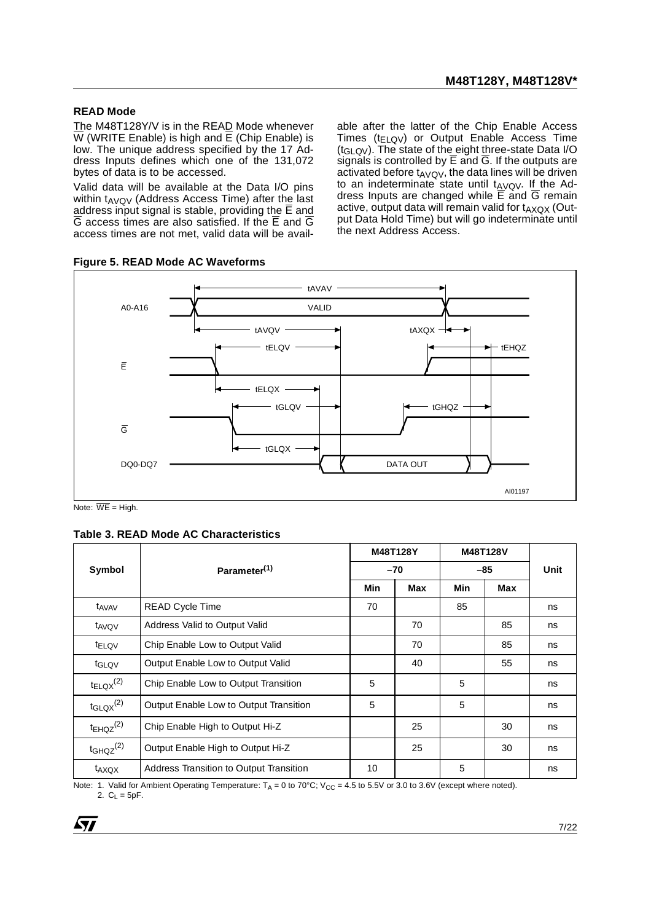### <span id="page-6-0"></span>**READ Mode**

The M48T128Y/V is in the READ Mode whenever  $\overline{W}$  (WRITE Enable) is high and  $\overline{E}$  (Chip Enable) is low. The unique address specified by the 17 Address Inputs defines which one of the 131,072 bytes of data is to be accessed.

Valid data will be available at the Data I/O pins within  $t_{AVOV}$  (Address Access Time) after the last address input signal is stable, providing the  $\overline{\mathsf{E}}$  and  $\overline{G}$  access times are also satisfied. If the  $\overline{E}$  and  $\overline{G}$ access times are not met, valid data will be avail-

<span id="page-6-1"></span>**Figure 5. READ Mode AC Waveforms**

able after the latter of the Chip Enable Access Times ( $t_{ELOV}$ ) or Output Enable Access Time (tGLQV). The state of the eight three-state Data I/O signals is controlled by  $\overline{E}$  and  $\overline{G}$ . If the outputs are activated before  $t_{AVQV}$ , the data lines will be driven to an indeterminate state until  $t_{AVQV}$ . If the Address Inputs are changed while  $\overline{E}$  and  $\overline{G}$  remain active, output data will remain valid for  $t_{AXQX}$  (Output Data Hold Time) but will go indeterminate until the next Address Access.



Note:  $\overline{\text{WE}}$  = High.

<span id="page-6-2"></span>

| Table 3. READ Mode AC Characteristics |  |
|---------------------------------------|--|
|---------------------------------------|--|

|                           |                                                |       | M48T128Y |     | M48T128V |      |
|---------------------------|------------------------------------------------|-------|----------|-----|----------|------|
| Symbol                    | Parameter <sup>(1)</sup>                       | $-70$ |          |     |          | Unit |
|                           |                                                | Min   | Max      | Min | Max      |      |
| t <sub>AVAV</sub>         | <b>READ Cycle Time</b>                         | 70    |          | 85  |          | ns   |
| t <sub>AVQV</sub>         | Address Valid to Output Valid                  |       | 70       |     | 85       | ns   |
| t <sub>ELQV</sub>         | Chip Enable Low to Output Valid                |       | 70       |     | 85       | ns   |
| t <sub>GLQV</sub>         | Output Enable Low to Output Valid              |       | 40       |     | 55       | ns   |
| $t_{ELQX}^{(2)}$          | Chip Enable Low to Output Transition           | 5     |          | 5   |          | ns   |
| $t_{\text{GLQX}}^{(2)}$   | Output Enable Low to Output Transition         | 5     |          | 5   |          | ns   |
| $t_{EHQZ}$ <sup>(2)</sup> | Chip Enable High to Output Hi-Z                |       | 25       |     | 30       | ns   |
| $t$ GHQZ $^{(2)}$         | Output Enable High to Output Hi-Z              |       | 25       |     | 30       | ns   |
| t <sub>AXQX</sub>         | <b>Address Transition to Output Transition</b> | 10    |          | 5   |          | ns   |

Note: 1. Valid for Ambient Operating Temperature:  $T_A = 0$  to 70°C; V<sub>CC</sub> = 4.5 to 5.5V or 3.0 to 3.6V (except where noted). 2.  $C_L = 5pF$ .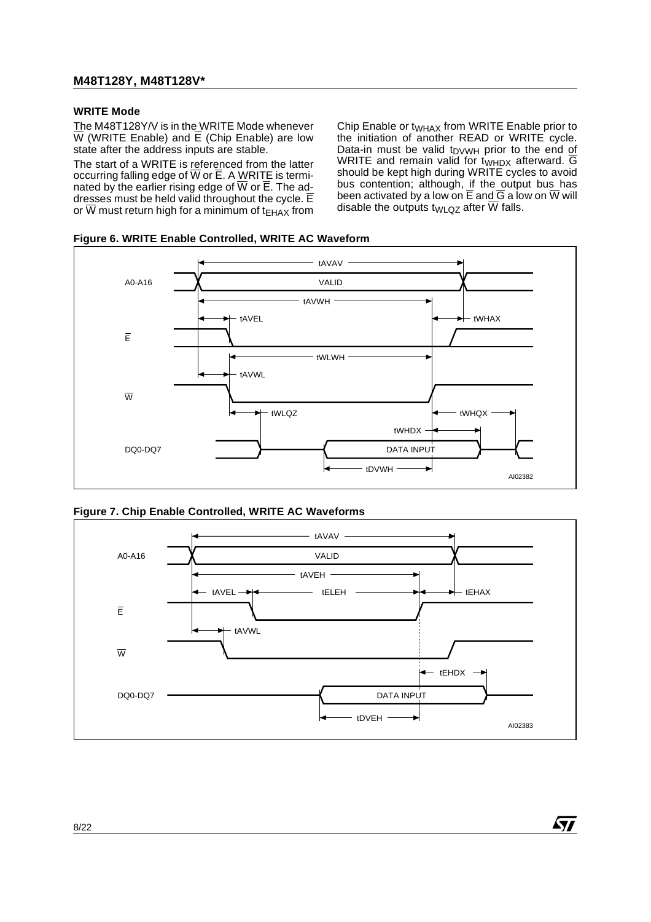### <span id="page-7-0"></span>**WRITE Mode**

The M48T128Y/V is in the WRITE Mode whenever  $\overline{W}$  (WRITE Enable) and  $\overline{E}$  (Chip Enable) are low state after the address inputs are stable.

The start of a WRITE is referenced from the latter occurring falling edge of  $\overline{W}$  or  $\overline{E}$ . A WRITE is terminated by the earlier rising edge of  $\overline{W}$  or  $\overline{E}$ . The addresses must be held valid throughout the cycle.  $\overline{E}$ or  $\overline{W}$  must return high for a minimum of t<sub>EHAX</sub> from Chip Enable or t<sub>WHAX</sub> from WRITE Enable prior to the initiation of another READ or WRITE cycle. Data-in must be valid  $t_{\text{D}VVWH}$  prior to the end of WRITE and remain valid for  $t_{WHDX}$  afterward.  $\overline{G}$ should be kept high during WRITE cycles to avoid bus contention; although, if the output bus has been activated by a low on E and G a low on W will disable the outputs t<sub>WLQZ</sub> after  $\overline{W}$  falls.

 $\sqrt{1}$ 

<span id="page-7-1"></span>



<span id="page-7-2"></span>

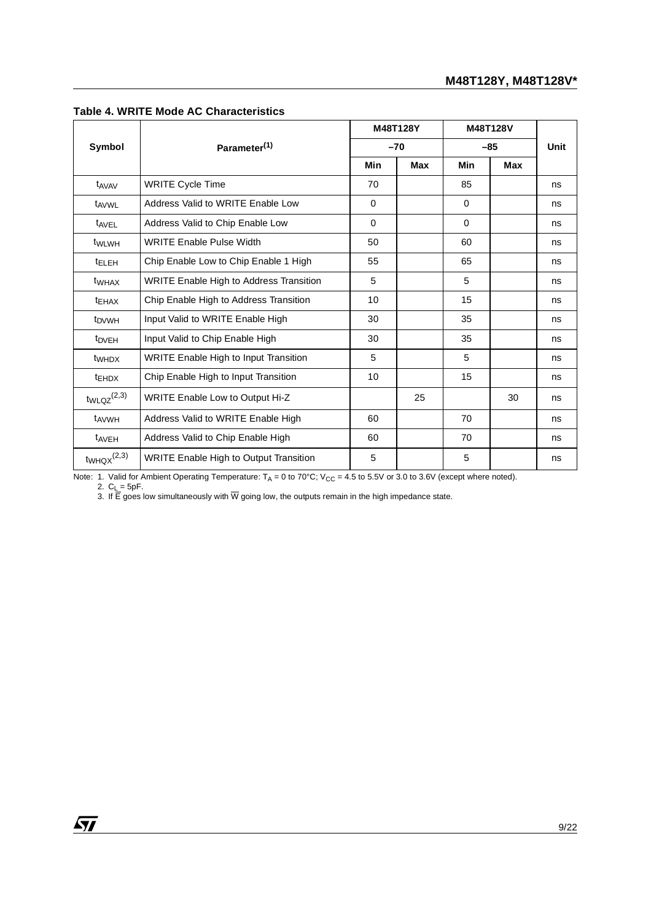|                             |                                                |          | M48T128Y       |          | M48T128V   |      |
|-----------------------------|------------------------------------------------|----------|----------------|----------|------------|------|
| Symbol                      | Parameter <sup>(1)</sup>                       |          | $-85$<br>$-70$ |          |            | Unit |
|                             |                                                | Min      | <b>Max</b>     | Min      | <b>Max</b> |      |
| t <sub>AVAV</sub>           | <b>WRITE Cycle Time</b>                        | 70       |                | 85       |            | ns   |
| t <sub>AVWL</sub>           | Address Valid to WRITE Enable Low              | 0        |                | $\Omega$ |            | ns   |
| t <sub>AVEL</sub>           | Address Valid to Chip Enable Low               | $\Omega$ |                | $\Omega$ |            | ns   |
| t <sub>WLWH</sub>           | <b>WRITE Enable Pulse Width</b>                | 50       |                | 60       |            | ns   |
| <sup>t</sup> ELEH           | Chip Enable Low to Chip Enable 1 High          | 55       |                | 65       |            | ns   |
| t <sub>WHAX</sub>           | <b>WRITE Enable High to Address Transition</b> | 5        |                | 5        |            | ns   |
| <b>TEHAX</b>                | Chip Enable High to Address Transition         | 10       |                | 15       |            | ns   |
| t <sub>DVWH</sub>           | Input Valid to WRITE Enable High               | 30       |                | 35       |            | ns   |
| t <sub>DVEH</sub>           | Input Valid to Chip Enable High                | 30       |                | 35       |            | ns   |
| t <sub>WHDX</sub>           | <b>WRITE Enable High to Input Transition</b>   | 5        |                | 5        |            | ns   |
| <b>t</b> EHDX               | Chip Enable High to Input Transition           | 10       |                | 15       |            | ns   |
| $twLQZ^{(2,3)}$             | WRITE Enable Low to Output Hi-Z                |          | 25             |          | 30         | ns   |
| t <sub>AVWH</sub>           | Address Valid to WRITE Enable High             | 60       |                | 70       |            | ns   |
| t <sub>AVEH</sub>           | Address Valid to Chip Enable High              | 60       |                | 70       |            | ns   |
| $t_{WHQX}$ <sup>(2,3)</sup> | <b>WRITE Enable High to Output Transition</b>  | 5        |                | 5        |            | ns   |

#### <span id="page-8-0"></span>**Table 4. WRITE Mode AC Characteristics**

Note: 1. Valid for Ambient Operating Temperature:  $T_A = 0$  to 70°C; V<sub>CC</sub> = 4.5 to 5.5V or 3.0 to 3.6V (except where noted).

2. C<sub>L</sub> = 5pF.<br>3. If E goes low simultaneously with W going low, the outputs remain in the high impedance state.

 $\sqrt{27}$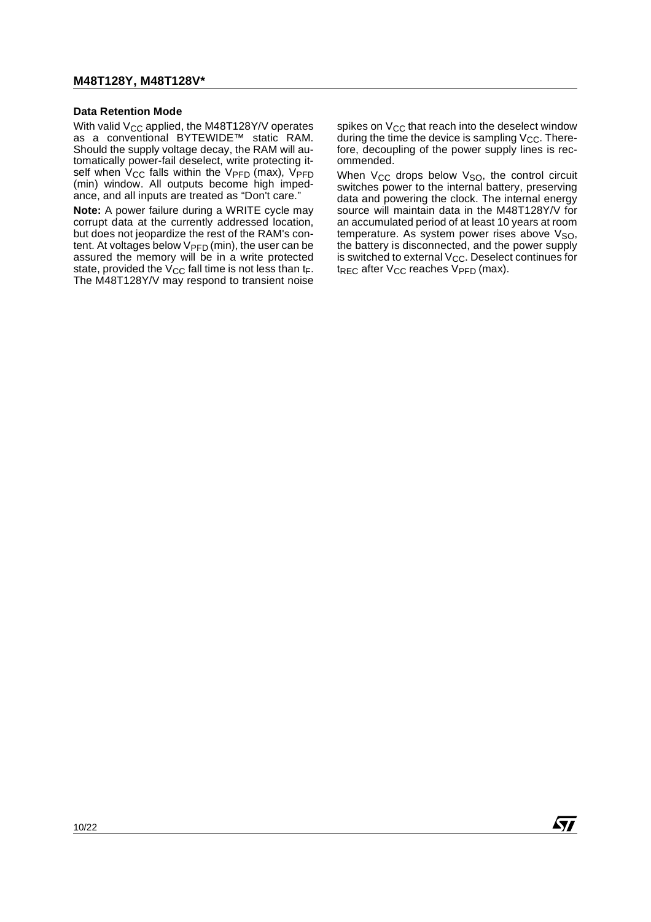### <span id="page-9-0"></span>**Data Retention Mode**

With valid  $V_{CC}$  applied, the M48T128Y/V operates as a conventional BYTEWIDE™ static RAM. Should the supply voltage decay, the RAM will automatically power-fail deselect, write protecting itself when  $V_{CC}$  falls within the  $V_{PFD}$  (max),  $V_{PFD}$ (min) window. All outputs become high impedance, and all inputs are treated as "Don't care."

**Note:** A power failure during a WRITE cycle may corrupt data at the currently addressed location, but does not jeopardize the rest of the RAM's content. At voltages below  $V_{\text{PFD}}$  (min), the user can be assured the memory will be in a write protected state, provided the  $V_{CC}$  fall time is not less than  $t_F$ . The M48T128Y/V may respond to transient noise spikes on  $V_{CC}$  that reach into the deselect window during the time the device is sampling  $V_{CC}$ . Therefore, decoupling of the power supply lines is recommended.

When V<sub>CC</sub> drops below V<sub>SO</sub>, the control circuit switches power to the internal battery, preserving data and powering the clock. The internal energy source will maintain data in the M48T128Y/V for an accumulated period of at least 10 years at room temperature. As system power rises above  $V<sub>SO</sub>$ , the battery is disconnected, and the power supply is switched to external  $V_{CC}$ . Deselect continues for  $t_{REC}$  after  $V_{CC}$  reaches  $V_{PFD}$  (max).

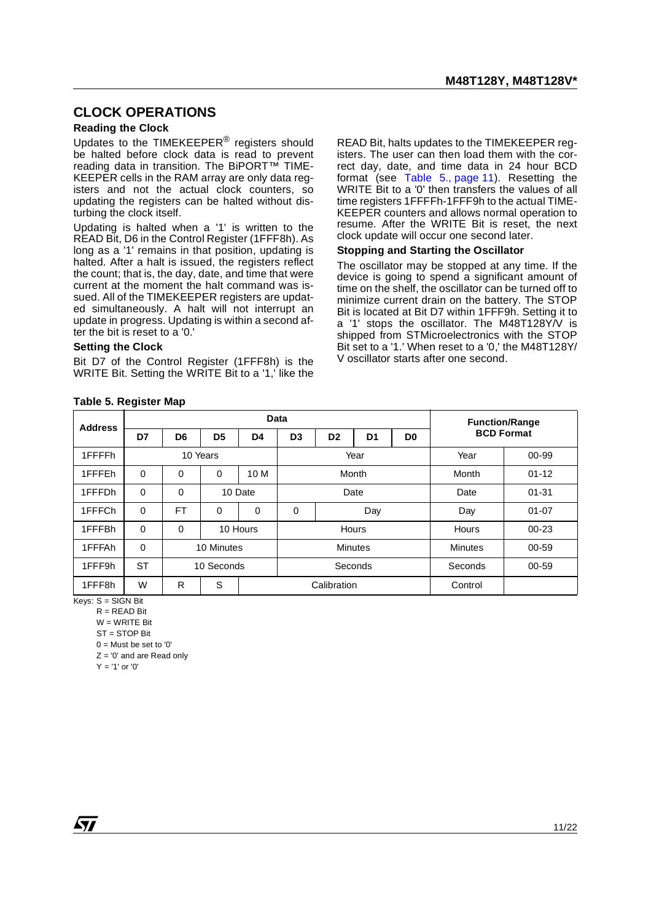### <span id="page-10-0"></span>**CLOCK OPERATIONS**

#### <span id="page-10-1"></span>**Reading the Clock**

Updates to the TIMEKEEPER® registers should be halted before clock data is read to prevent reading data in transition. The BiPORT™ TIME-KEEPER cells in the RAM array are only data registers and not the actual clock counters, so updating the registers can be halted without disturbing the clock itself.

Updating is halted when a '1' is written to the READ Bit, D6 in the Control Register (1FFF8h). As long as a '1' remains in that position, updating is halted. After a halt is issued, the registers reflect the count; that is, the day, date, and time that were current at the moment the halt command was issued. All of the TIMEKEEPER registers are updated simultaneously. A halt will not interrupt an update in progress. Updating is within a second after the bit is reset to a '0.'

#### <span id="page-10-2"></span>**Setting the Clock**

Bit D7 of the Control Register (1FFF8h) is the WRITE Bit. Setting the WRITE Bit to a '1,' like the READ Bit, halts updates to the TIMEKEEPER registers. The user can then load them with the correct day, date, and time data in 24 hour BCD format (see [Table 5., page 11\)](#page-10-4). Resetting the WRITE Bit to a '0' then transfers the values of all time registers 1FFFFh-1FFF9h to the actual TIME-KEEPER counters and allows normal operation to resume. After the WRITE Bit is reset, the next clock update will occur one second later.

#### <span id="page-10-3"></span>**Stopping and Starting the Oscillator**

The oscillator may be stopped at any time. If the device is going to spend a significant amount of time on the shelf, the oscillator can be turned off to minimize current drain on the battery. The STOP Bit is located at Bit D7 within 1FFF9h. Setting it to a '1' stops the oscillator. The M48T128Y/V is shipped from STMicroelectronics with the STOP Bit set to a '1.' When reset to a '0,' the M48T128Y/ V oscillator starts after one second.

<span id="page-10-4"></span>

| <b>Table 5. Register Map</b> |  |  |  |  |  |
|------------------------------|--|--|--|--|--|
|------------------------------|--|--|--|--|--|

| <b>Address</b> | <b>Data</b> |                |                |         |                |                |                |                | <b>Function/Range</b> |  |  |
|----------------|-------------|----------------|----------------|---------|----------------|----------------|----------------|----------------|-----------------------|--|--|
|                | D7          | D <sub>6</sub> | D <sub>5</sub> | D4      | D <sub>3</sub> | D <sub>2</sub> | D <sub>1</sub> | D <sub>0</sub> | <b>BCD Format</b>     |  |  |
| 1FFFFh         |             | 10 Years       |                |         | Year           |                |                | Year           | 00-99                 |  |  |
| 1FFFEh         | $\Omega$    | $\Omega$       | 0              | 10 M    | Month          |                |                | Month          | $01 - 12$             |  |  |
| 1FFFDh         | $\mathbf 0$ | $\Omega$       |                | 10 Date | Date           |                |                | Date           | $01 - 31$             |  |  |
| 1FFFCh         | $\mathbf 0$ | FT             | 0              | 0       | 0              | Day            |                | Day            | $01 - 07$             |  |  |
| 1FFFBh         | $\mathbf 0$ | 0              | 10 Hours       |         | Hours          |                | Hours          | $00 - 23$      |                       |  |  |
| 1FFFAh         | $\mathbf 0$ |                | 10 Minutes     |         | <b>Minutes</b> |                |                | <b>Minutes</b> | 00-59                 |  |  |
| 1FFF9h         | <b>ST</b>   |                | 10 Seconds     |         | Seconds        |                | Seconds        | $00 - 59$      |                       |  |  |
| 1FFF8h         | W           | R              | S              |         |                | Calibration    |                |                | Control               |  |  |

 $Kevs: S = SIGN$  Bit

 $R = READ$  Bit  $W = WR$ ITF Rit

ST = STOP Bit

 $0 =$  Must be set to '0'

 $Z = '0'$  and are Read only

 $Y = '1'$  or  $'0'$ 

*ky*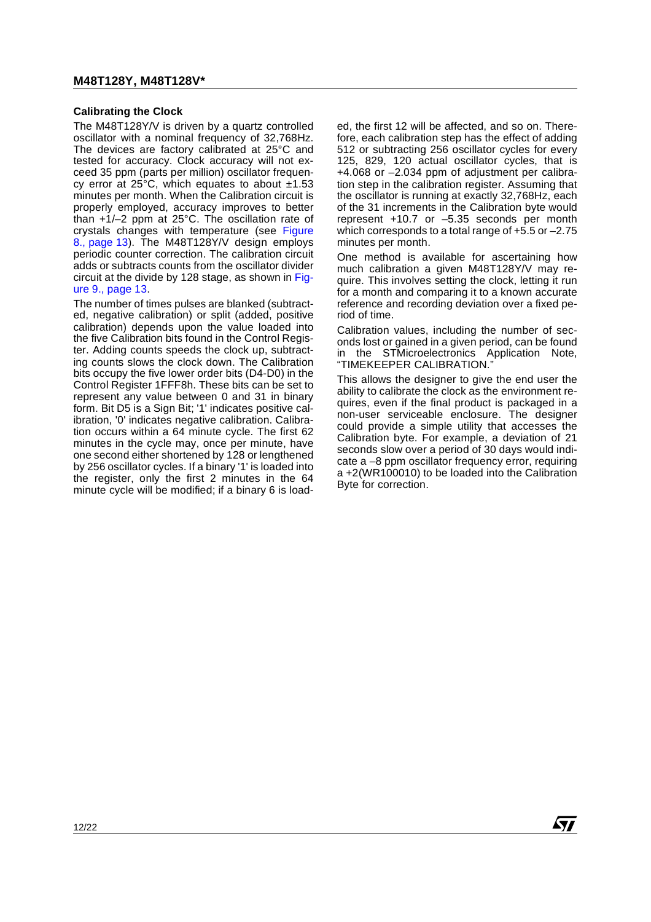### <span id="page-11-0"></span>**Calibrating the Clock**

The M48T128Y/V is driven by a quartz controlled oscillator with a nominal frequency of 32,768Hz. The devices are factory calibrated at 25°C and tested for accuracy. Clock accuracy will not exceed 35 ppm (parts per million) oscillator frequency error at 25 $\degree$ C, which equates to about  $\pm$ 1.53 minutes per month. When the Calibration circuit is properly employed, accuracy improves to better than +1/–2 ppm at 25°C. The oscillation rate of crystals changes with temperature (see [Figure](#page-12-0) [8., page 13](#page-12-0)). The M48T128Y/V design employs periodic counter correction. The calibration circuit adds or subtracts counts from the oscillator divider circuit at the divide by 128 stage, as shown in [Fig](#page-12-1)[ure 9., page 13](#page-12-1).

The number of times pulses are blanked (subtracted, negative calibration) or split (added, positive calibration) depends upon the value loaded into the five Calibration bits found in the Control Register. Adding counts speeds the clock up, subtracting counts slows the clock down. The Calibration bits occupy the five lower order bits (D4-D0) in the Control Register 1FFF8h. These bits can be set to represent any value between 0 and 31 in binary form. Bit D5 is a Sign Bit; '1' indicates positive calibration, '0' indicates negative calibration. Calibration occurs within a 64 minute cycle. The first 62 minutes in the cycle may, once per minute, have one second either shortened by 128 or lengthened by 256 oscillator cycles. If a binary '1' is loaded into the register, only the first 2 minutes in the 64 minute cycle will be modified; if a binary 6 is loaded, the first 12 will be affected, and so on. Therefore, each calibration step has the effect of adding 512 or subtracting 256 oscillator cycles for every 125, 829, 120 actual oscillator cycles, that is +4.068 or –2.034 ppm of adjustment per calibration step in the calibration register. Assuming that the oscillator is running at exactly 32,768Hz, each of the 31 increments in the Calibration byte would represent +10.7 or –5.35 seconds per month which corresponds to a total range of +5.5 or –2.75 minutes per month.

One method is available for ascertaining how much calibration a given M48T128Y/V may require. This involves setting the clock, letting it run for a month and comparing it to a known accurate reference and recording deviation over a fixed period of time.

Calibration values, including the number of seconds lost or gained in a given period, can be found in the STMicroelectronics Application Note, "TIMEKEEPER CALIBRATION."

This allows the designer to give the end user the ability to calibrate the clock as the environment requires, even if the final product is packaged in a non-user serviceable enclosure. The designer could provide a simple utility that accesses the Calibration byte. For example, a deviation of 21 seconds slow over a period of 30 days would indicate a –8 ppm oscillator frequency error, requiring a +2(WR100010) to be loaded into the Calibration Byte for correction.

**AVI**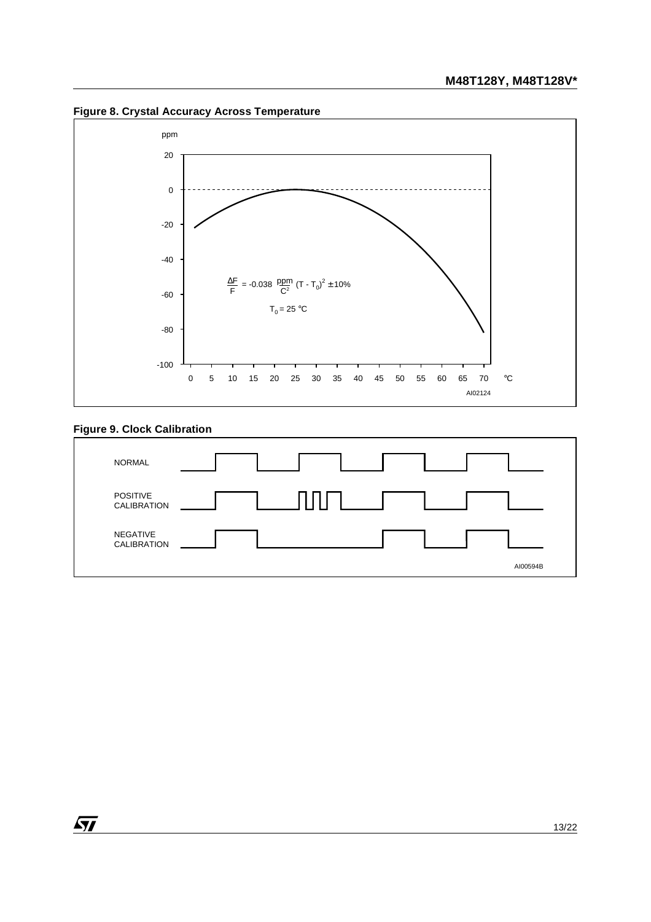<span id="page-12-0"></span>**Figure 8. Crystal Accuracy Across Temperature**



# <span id="page-12-1"></span>**Figure 9. Clock Calibration**

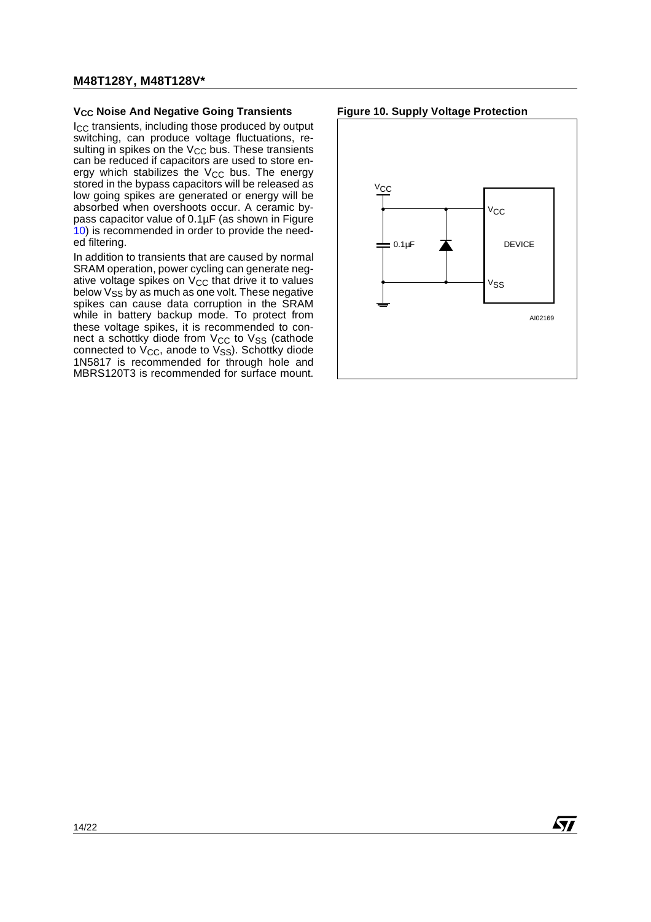#### <span id="page-13-0"></span>**V<sub>CC</sub> Noise And Negative Going Transients**

I<sub>CC</sub> transients, including those produced by output switching, can produce voltage fluctuations, resulting in spikes on the  $V_{CC}$  bus. These transients can be reduced if capacitors are used to store energy which stabilizes the  $V_{CC}$  bus. The energy stored in the bypass capacitors will be released as low going spikes are generated or energy will be absorbed when overshoots occur. A ceramic bypass capacitor value of 0.1µF (as shown in Figure [10](#page-13-1)) is recommended in order to provide the needed filtering.

In addition to transients that are caused by normal SRAM operation, power cycling can generate negative voltage spikes on  $V_{CC}$  that drive it to values below V<sub>SS</sub> by as much as one volt. These negative spikes can cause data corruption in the SRAM while in battery backup mode. To protect from these voltage spikes, it is recommended to connect a schottky diode from  $V_{CC}$  to  $V_{SS}$  (cathode connected to  $V_{CC}$ , anode to  $V_{SS}$ ). Schottky diode 1N5817 is recommended for through hole and MBRS120T3 is recommended for surface mount.

#### <span id="page-13-1"></span>**Figure 10. Supply Voltage Protection**



57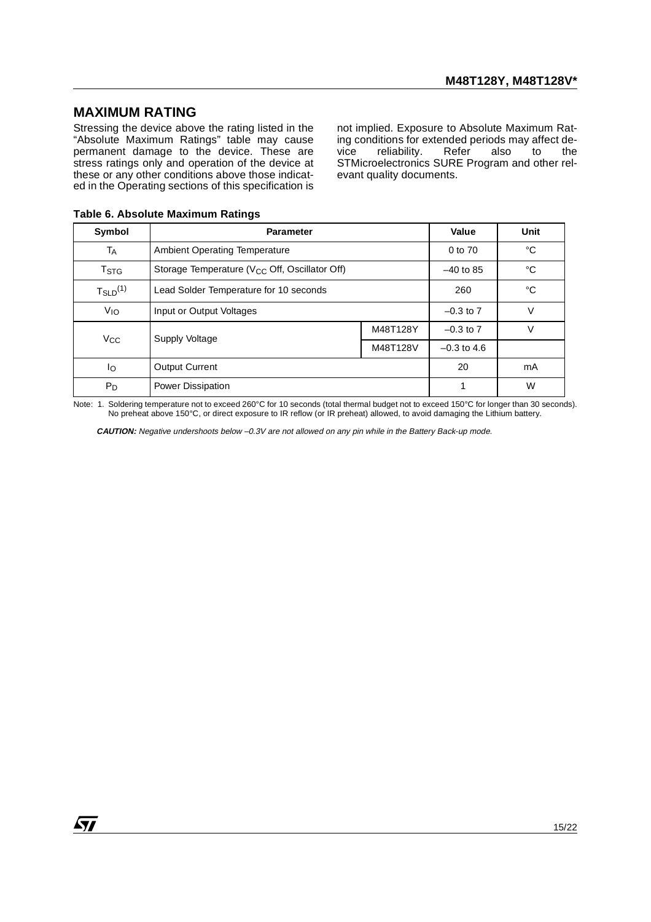### <span id="page-14-0"></span>**MAXIMUM RATING**

Stressing the device above the rating listed in the "Absolute Maximum Ratings" table may cause permanent damage to the device. These are stress ratings only and operation of the device at these or any other conditions above those indicated in the Operating sections of this specification is

not implied. Exposure to Absolute Maximum Rating conditions for extended periods may affect dereliability. STMicroelectronics SURE Program and other relevant quality documents.

| Symbol                              | <b>Parameter</b>                                          | Value         | Unit          |    |
|-------------------------------------|-----------------------------------------------------------|---------------|---------------|----|
| Тд                                  | Ambient Operating Temperature                             | 0 to 70       | °C            |    |
| $T_{\footnotesize\rm STG}$          | Storage Temperature (V <sub>CC</sub> Off, Oscillator Off) |               | $-40$ to 85   | °C |
| $T_{\scriptstyle \text{SLD}}^{(1)}$ | Lead Solder Temperature for 10 seconds                    |               | 260           | °C |
| V <sub>IO</sub>                     | Input or Output Voltages                                  | $-0.3$ to $7$ | V             |    |
| $V_{\rm CC}$                        | Supply Voltage                                            | M48T128Y      | $-0.3$ to $7$ | v  |
|                                     |                                                           |               | $-0.3$ to 4.6 |    |
| lo.                                 | <b>Output Current</b>                                     |               | 20            | mA |
| $P_D$                               | Power Dissipation                                         |               |               | W  |

<span id="page-14-1"></span>**Table 6. Absolute Maximum Ratings**

Note: 1. Soldering temperature not to exceed 260°C for 10 seconds (total thermal budget not to exceed 150°C for longer than 30 seconds). No preheat above 150°C, or direct exposure to IR reflow (or IR preheat) allowed, to avoid damaging the Lithium battery.

**CAUTION:** Negative undershoots below –0.3V are not allowed on any pin while in the Battery Back-up mode.

57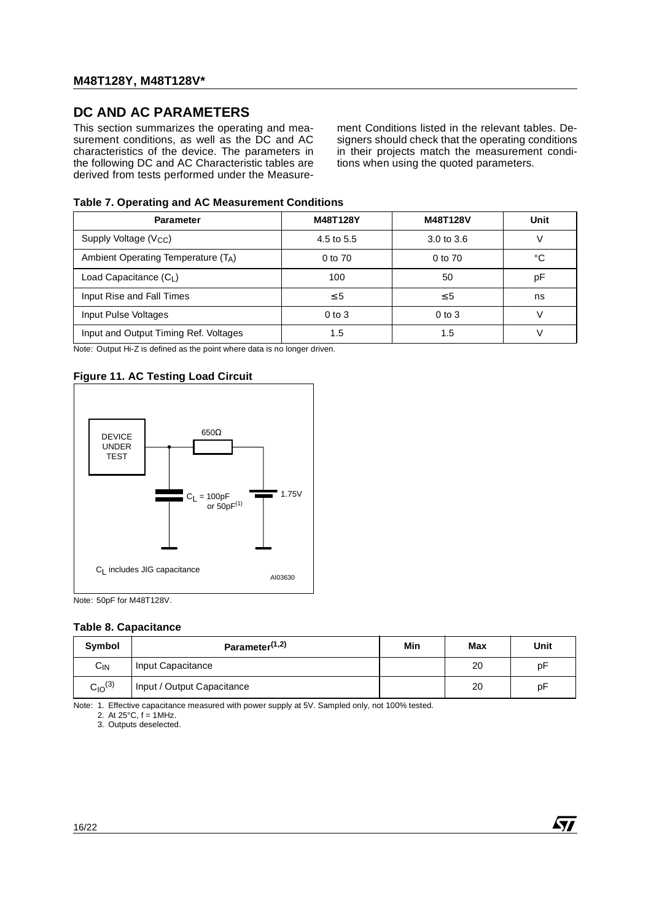# <span id="page-15-0"></span>**DC AND AC PARAMETERS**

This section summarizes the operating and measurement conditions, as well as the DC and AC characteristics of the device. The parameters in the following DC and AC Characteristic tables are derived from tests performed under the Measure-

ment Conditions listed in the relevant tables. Designers should check that the operating conditions in their projects match the measurement conditions when using the quoted parameters.

### <span id="page-15-1"></span>**Table 7. Operating and AC Measurement Conditions**

| <b>Parameter</b>                      | M48T128Y   | M48T128V              | Unit |
|---------------------------------------|------------|-----------------------|------|
| Supply Voltage $(V_{CC})$             | 4.5 to 5.5 | $3.0 \text{ to } 3.6$ |      |
| Ambient Operating Temperature (TA)    | 0 to 70    | 0 to 70               | °C   |
| Load Capacitance $(C_1)$              | 100        | 50                    | рF   |
| Input Rise and Fall Times             | $\leq 5$   | $\leq 5$              | ns   |
| Input Pulse Voltages                  | $0$ to $3$ | $0$ to $3$            |      |
| Input and Output Timing Ref. Voltages | 1.5        | 1.5                   |      |

Note: Output Hi-Z is defined as the point where data is no longer driven.

### <span id="page-15-2"></span>**Figure 11. AC Testing Load Circuit**



Note: 50pF for M48T128V.

#### <span id="page-15-3"></span>**Table 8. Capacitance**

| Symbol                         | Parameter <sup>(1,2)</sup> | Min | Max | Unit |
|--------------------------------|----------------------------|-----|-----|------|
| $C_{IN}$                       | Input Capacitance          |     | 20  | рF   |
| C <sub>10</sub> <sup>(3)</sup> | Input / Output Capacitance |     | 20  | рF   |

Note: 1. Effective capacitance measured with power supply at 5V. Sampled only, not 100% tested.

2. At  $25^{\circ}$ C,  $f = 1$ MHz.

3. Outputs deselected.

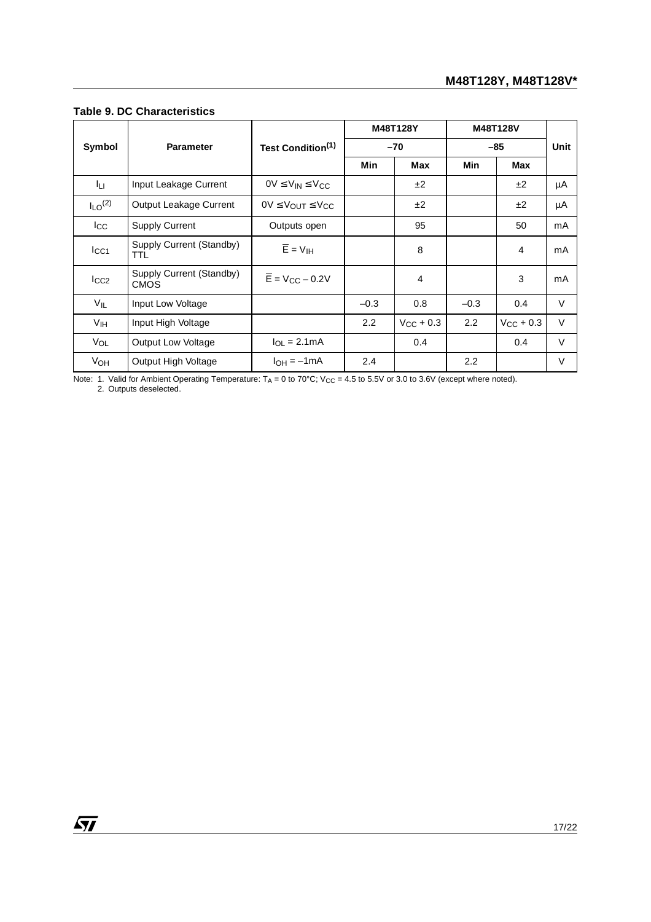|                         |                                         |                                             |        | M48T128Y           | M48T128V |                    |        |
|-------------------------|-----------------------------------------|---------------------------------------------|--------|--------------------|----------|--------------------|--------|
| Symbol                  | <b>Parameter</b>                        | Test Condition <sup>(1)</sup>               | $-70$  |                    | $-85$    |                    | Unit   |
|                         |                                         |                                             | Min    | Max                | Min      | <b>Max</b>         |        |
| Iц                      | Input Leakage Current                   | $OV \leq V_{IN} \leq V_{CC}$                |        | ±2                 |          | ±2                 | μA     |
| $I_{LO}$ <sup>(2)</sup> | Output Leakage Current                  | $0V \leq V_{\text{OUT}} \leq V_{\text{CC}}$ |        | ±2                 |          | ±2                 | μA     |
| $_{\rm lcc}$            | <b>Supply Current</b>                   | Outputs open                                |        | 95                 |          | 50                 | mA     |
| $_{\text{lcc1}}$        | Supply Current (Standby)<br>TTL         | $\overline{E}$ = $V_{\text{IH}}$            |        | 8                  |          | 4                  | mA     |
| $I_{CC2}$               | Supply Current (Standby)<br><b>CMOS</b> | $\overline{E}$ = V <sub>CC</sub> – 0.2V     |        | 4                  |          | 3                  | mA     |
| $V_{IL}$                | Input Low Voltage                       |                                             | $-0.3$ | 0.8                | $-0.3$   | 0.4                | $\vee$ |
| V <sub>IH</sub>         | Input High Voltage                      |                                             | 2.2    | $V_{\rm CC}$ + 0.3 | 2.2      | $V_{\rm CC}$ + 0.3 | $\vee$ |
| V <sub>OL</sub>         | <b>Output Low Voltage</b>               | $I_{OL}$ = 2.1 mA                           |        | 0.4                |          | 0.4                | V      |
| V <sub>OH</sub>         | Output High Voltage                     | $I_{OH} = -1mA$                             | 2.4    |                    | 2.2      |                    | V      |

### <span id="page-16-0"></span>**Table 9. DC Characteristics**

Note: 1. Valid for Ambient Operating Temperature:  $T_A = 0$  to 70°C; V<sub>CC</sub> = 4.5 to 5.5V or 3.0 to 3.6V (except where noted).<br>2. Outputs deselected.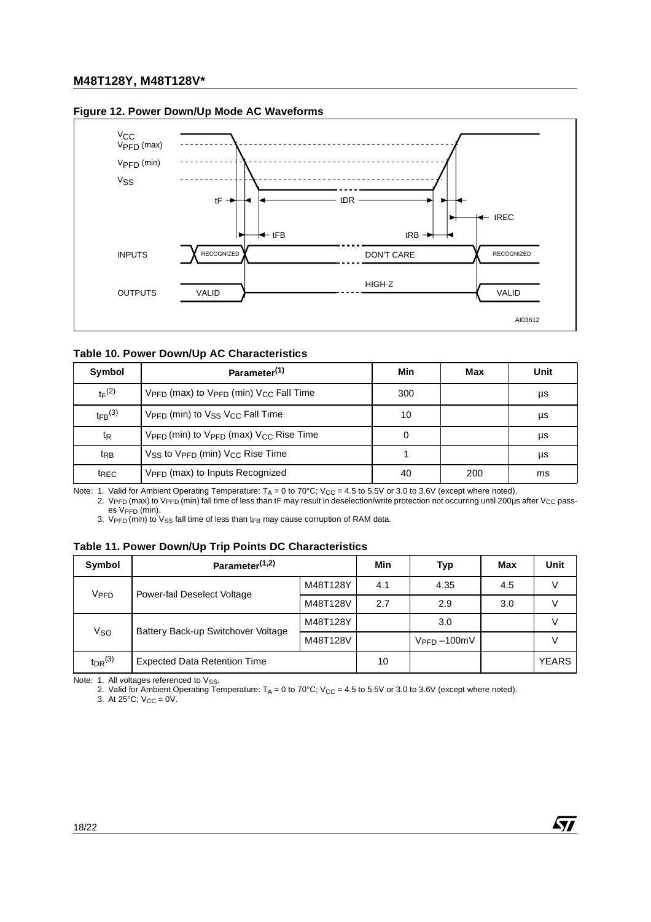

### <span id="page-17-0"></span>**Figure 12. Power Down/Up Mode AC Waveforms**

### <span id="page-17-1"></span>**Table 10. Power Down/Up AC Characteristics**

| Symbol                  | Parameter <sup>(1)</sup>                                                   | Min | Max | Unit |
|-------------------------|----------------------------------------------------------------------------|-----|-----|------|
| $t_F(2)$                | $V_{\text{PFD}}$ (max) to $V_{\text{PFD}}$ (min) $V_{\text{CC}}$ Fall Time | 300 |     | μs   |
| $t_{FB}$ <sup>(3)</sup> | V <sub>PFD</sub> (min) to V <sub>SS</sub> V <sub>CC</sub> Fall Time        | 10  |     | μs   |
| t <sub>R</sub>          | $V_{\text{PFD}}$ (min) to $V_{\text{PFD}}$ (max) $V_{\text{CC}}$ Rise Time |     |     | μs   |
| trB                     | $V_{SS}$ to $V_{PFD}$ (min) $V_{CC}$ Rise Time                             |     |     | μs   |
| t <sub>REC</sub>        | V <sub>PFD</sub> (max) to Inputs Recognized                                | 40  | 200 | ms   |

Note: 1. Valid for Ambient Operating Temperature:  $T_A = 0$  to 70°C; V<sub>CC</sub> = 4.5 to 5.5V or 3.0 to 3.6V (except where noted).

2. V<sub>PFD</sub> (max) to V<sub>PFD</sub> (min) fall time of less than tF may result in deselection/write protection not occurring until 200µs after V<sub>CC</sub> pass- $\mathsf{es}$  V<sub>PFD</sub> (min).

3.  $V_{\text{PFD}}$  (min) to  $V_{\text{SS}}$  fall time of less than t<sub>FB</sub> may cause corruption of RAM data.

### <span id="page-17-2"></span>**Table 11. Power Down/Up Trip Points DC Characteristics**

| Symbol           | Parameter <sup>(1,2)</sup>                          |          | Min | <b>Typ</b>     | Max | Unit         |
|------------------|-----------------------------------------------------|----------|-----|----------------|-----|--------------|
| V <sub>PFD</sub> | M48T128Y<br>Power-fail Deselect Voltage<br>M48T128V |          | 4.1 | 4.35           | 4.5 | $\vee$       |
|                  |                                                     | 2.7      | 2.9 | 3.0            |     |              |
| Vso              | Battery Back-up Switchover Voltage                  | M48T128Y |     | 3.0            |     |              |
|                  | M48T128V                                            |          |     | $VPPD - 100mV$ |     |              |
| $t_{DR}$ $(3)$   | <b>Expected Data Retention Time</b>                 |          | 10  |                |     | <b>YEARS</b> |

 $\sqrt{1}$ 

Note: 1. All voltages referenced to  $V_{SS}$ .

2. Valid for Ambient Operating Temperature: T<sub>A</sub> = 0 to 70°C; V<sub>CC</sub> = 4.5 to 5.5V or 3.0 to 3.6V (except where noted).

3. At  $25^{\circ}$ C;  $V_{CC} = 0V$ .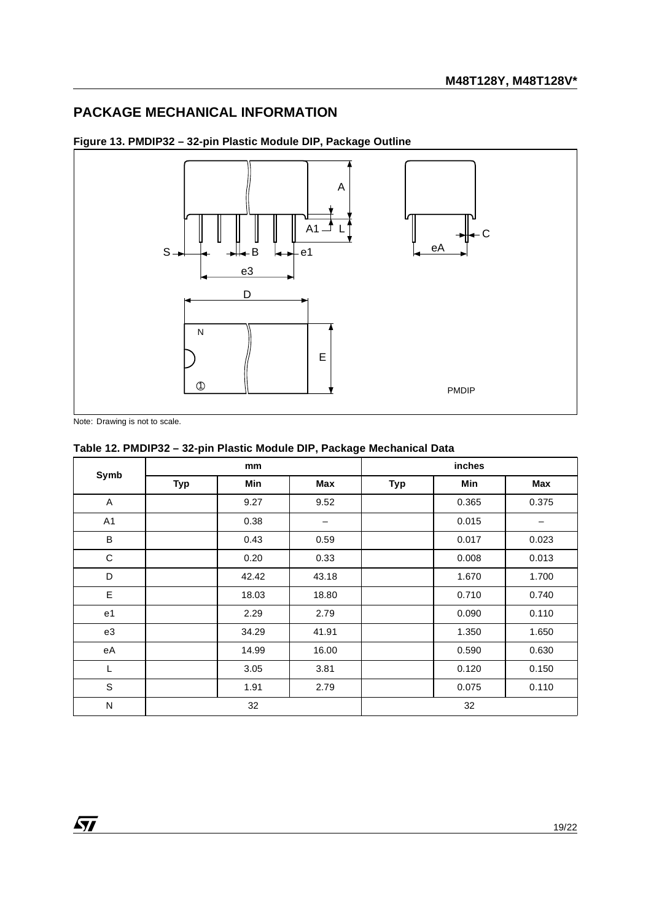# <span id="page-18-0"></span>**PACKAGE MECHANICAL INFORMATION**



<span id="page-18-1"></span>**Figure 13. PMDIP32 – 32-pin Plastic Module DIP, Package Outline**

Note: Drawing is not to scale.

### <span id="page-18-2"></span>**Table 12. PMDIP32 – 32-pin Plastic Module DIP, Package Mechanical Data**

| Symb        | mm         |       |       | inches     |       |       |  |
|-------------|------------|-------|-------|------------|-------|-------|--|
|             | <b>Typ</b> | Min   | Max   | <b>Typ</b> | Min   | Max   |  |
| A           |            | 9.27  | 9.52  |            | 0.365 | 0.375 |  |
| A1          |            | 0.38  |       |            | 0.015 |       |  |
| B           |            | 0.43  | 0.59  |            | 0.017 | 0.023 |  |
| $\mathsf C$ |            | 0.20  | 0.33  |            | 0.008 | 0.013 |  |
| D           |            | 42.42 | 43.18 |            | 1.670 | 1.700 |  |
| E           |            | 18.03 | 18.80 |            | 0.710 | 0.740 |  |
| e1          |            | 2.29  | 2.79  |            | 0.090 | 0.110 |  |
| e3          |            | 34.29 | 41.91 |            | 1.350 | 1.650 |  |
| eA          |            | 14.99 | 16.00 |            | 0.590 | 0.630 |  |
| L           |            | 3.05  | 3.81  |            | 0.120 | 0.150 |  |
| $\mathsf S$ |            | 1.91  | 2.79  |            | 0.075 | 0.110 |  |
| N           | 32         |       |       |            | 32    |       |  |

 $\sqrt{11}$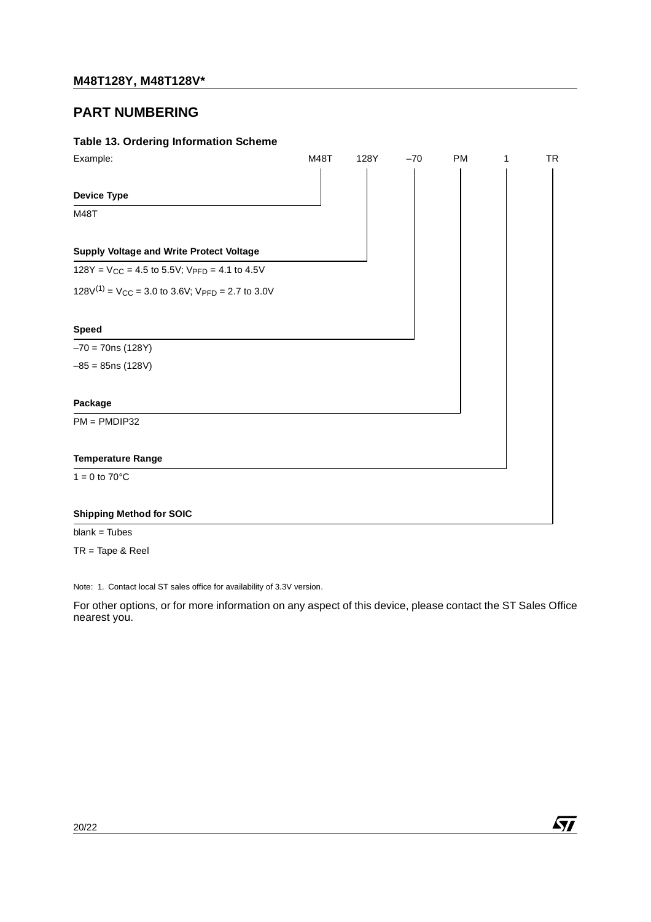# <span id="page-19-0"></span>**PART NUMBERING**

### <span id="page-19-1"></span>**Table 13. Ordering Information Scheme**

| Example:                                                     | M48T | 128Y | $-70$ | <b>PM</b> | 1 | <b>TR</b> |
|--------------------------------------------------------------|------|------|-------|-----------|---|-----------|
|                                                              |      |      |       |           |   |           |
| <b>Device Type</b>                                           |      |      |       |           |   |           |
| M48T                                                         |      |      |       |           |   |           |
|                                                              |      |      |       |           |   |           |
| <b>Supply Voltage and Write Protect Voltage</b>              |      |      |       |           |   |           |
| $128Y = V_{CC} = 4.5$ to 5.5V; $V_{PFD} = 4.1$ to 4.5V       |      |      |       |           |   |           |
| $128V^{(1)} = V_{CC} = 3.0$ to 3.6V; $V_{PFD} = 2.7$ to 3.0V |      |      |       |           |   |           |
| <b>Speed</b>                                                 |      |      |       |           |   |           |
| $-70 = 70$ ns (128Y)                                         |      |      |       |           |   |           |
| $-85 = 85$ ns (128V)                                         |      |      |       |           |   |           |
| Package                                                      |      |      |       |           |   |           |
| $PM = PMDIP32$                                               |      |      |       |           |   |           |
| <b>Temperature Range</b>                                     |      |      |       |           |   |           |
| $1 = 0$ to $70^{\circ}$ C                                    |      |      |       |           |   |           |
| <b>Shipping Method for SOIC</b>                              |      |      |       |           |   |           |
|                                                              |      |      |       |           |   |           |

blank = Tubes

TR = Tape & Reel

Note: 1. Contact local ST sales office for availability of 3.3V version.

For other options, or for more information on any aspect of this device, please contact the ST Sales Office nearest you.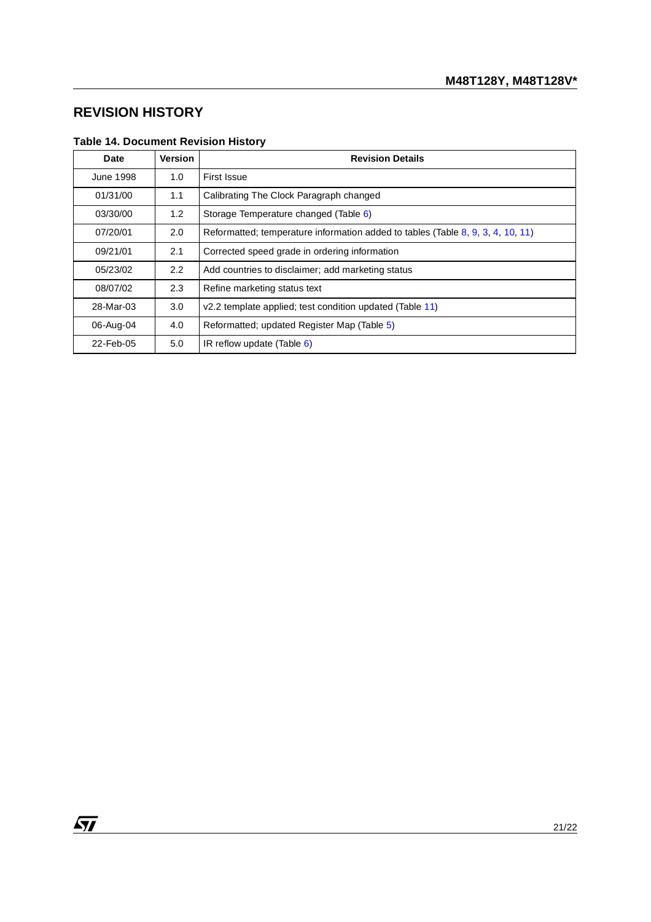# <span id="page-20-0"></span>**REVISION HISTORY**

<span id="page-20-1"></span>

| <b>Table 14. Document Revision History</b> |  |  |  |
|--------------------------------------------|--|--|--|
|                                            |  |  |  |

| <b>Date</b> | Version | <b>Revision Details</b>                                                         |
|-------------|---------|---------------------------------------------------------------------------------|
| June 1998   | 1.0     | First Issue                                                                     |
| 01/31/00    | 1.1     | Calibrating The Clock Paragraph changed                                         |
| 03/30/00    | 1.2     | Storage Temperature changed (Table 6)                                           |
| 07/20/01    | 2.0     | Reformatted: temperature information added to tables (Table 8, 9, 3, 4, 10, 11) |
| 09/21/01    | 2.1     | Corrected speed grade in ordering information                                   |
| 05/23/02    | 2.2     | Add countries to disclaimer; add marketing status                               |
| 08/07/02    | 2.3     | Refine marketing status text                                                    |
| 28-Mar-03   | 3.0     | v2.2 template applied; test condition updated (Table 11)                        |
| 06-Aug-04   | 4.0     | Reformatted; updated Register Map (Table 5)                                     |
| 22-Feb-05   | 5.0     | IR reflow update (Table $6$ )                                                   |